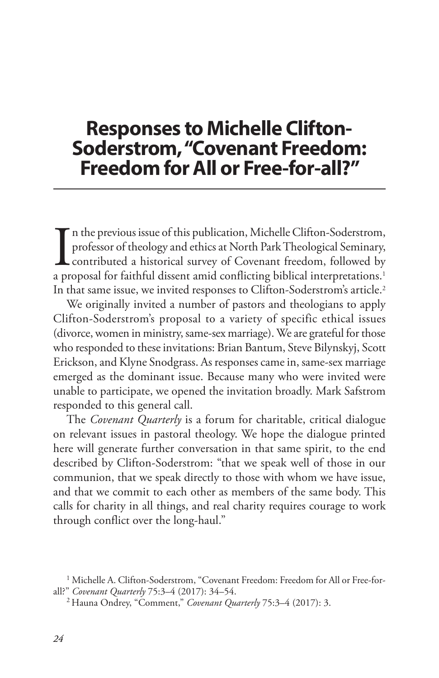# **Responses to Michelle Clifton-Soderstrom, "Covenant Freedom: Freedom for All or Free-for-all?"**

In the previous issue of this publication, Michelle Clifton-Soderstrom,<br>professor of theology and ethics at North Park Theological Seminary,<br>contributed a historical survey of Covenant freedom, followed by<br>a proposal for f n the previous issue of this publication, Michelle Clifton-Soderstrom, professor of theology and ethics at North Park Theological Seminary, contributed a historical survey of Covenant freedom, followed by In that same issue, we invited responses to Clifton-Soderstrom's article.<sup>2</sup>

We originally invited a number of pastors and theologians to apply Clifton-Soderstrom's proposal to a variety of specific ethical issues (divorce, women in ministry, same-sex marriage). We are grateful for those who responded to these invitations: Brian Bantum, Steve Bilynskyj, Scott Erickson, and Klyne Snodgrass. As responses came in, same-sex marriage emerged as the dominant issue. Because many who were invited were unable to participate, we opened the invitation broadly. Mark Safstrom responded to this general call.

The *Covenant Quarterly* is a forum for charitable, critical dialogue on relevant issues in pastoral theology. We hope the dialogue printed here will generate further conversation in that same spirit, to the end described by Clifton-Soderstrom: "that we speak well of those in our communion, that we speak directly to those with whom we have issue, and that we commit to each other as members of the same body. This calls for charity in all things, and real charity requires courage to work through conflict over the long-haul."

<sup>&</sup>lt;sup>1</sup> Michelle A. Clifton-Soderstrom, "Covenant Freedom: Freedom for All or Free-forall?" *Covenant Quarterly* 75:3–4 (2017): 34–54.

<sup>2</sup> Hauna Ondrey, "Comment," *Covenant Quarterly* 75:3–4 (2017): 3.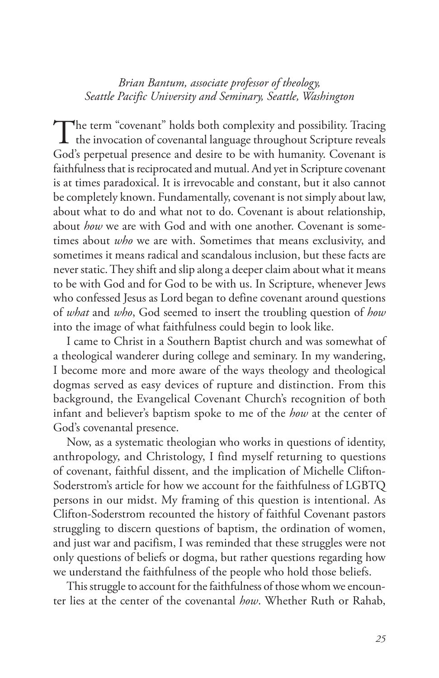## *Brian Bantum, associate professor of theology, Seattle Pacific University and Seminary, Seattle, Washington*

The term "covenant" holds both complexity and possibility. Tracing  $\perp$  the invocation of covenantal language throughout Scripture reveals God's perpetual presence and desire to be with humanity. Covenant is faithfulness that is reciprocated and mutual. And yet in Scripture covenant is at times paradoxical. It is irrevocable and constant, but it also cannot be completely known. Fundamentally, covenant is not simply about law, about what to do and what not to do. Covenant is about relationship, about *how* we are with God and with one another. Covenant is sometimes about *who* we are with. Sometimes that means exclusivity, and sometimes it means radical and scandalous inclusion, but these facts are never static. They shift and slip along a deeper claim about what it means to be with God and for God to be with us. In Scripture, whenever Jews who confessed Jesus as Lord began to define covenant around questions of *what* and *who*, God seemed to insert the troubling question of *how* into the image of what faithfulness could begin to look like.

I came to Christ in a Southern Baptist church and was somewhat of a theological wanderer during college and seminary. In my wandering, I become more and more aware of the ways theology and theological dogmas served as easy devices of rupture and distinction. From this background, the Evangelical Covenant Church's recognition of both infant and believer's baptism spoke to me of the *how* at the center of God's covenantal presence.

Now, as a systematic theologian who works in questions of identity, anthropology, and Christology, I find myself returning to questions of covenant, faithful dissent, and the implication of Michelle Clifton-Soderstrom's article for how we account for the faithfulness of LGBTQ persons in our midst. My framing of this question is intentional. As Clifton-Soderstrom recounted the history of faithful Covenant pastors struggling to discern questions of baptism, the ordination of women, and just war and pacifism, I was reminded that these struggles were not only questions of beliefs or dogma, but rather questions regarding how we understand the faithfulness of the people who hold those beliefs.

This struggle to account for the faithfulness of those whom we encounter lies at the center of the covenantal *how*. Whether Ruth or Rahab,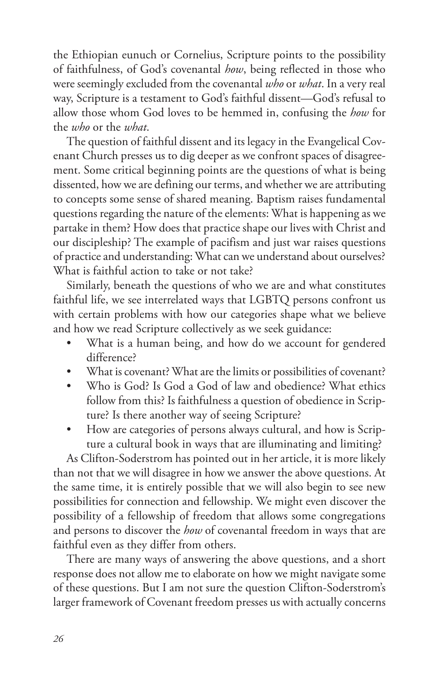the Ethiopian eunuch or Cornelius, Scripture points to the possibility of faithfulness, of God's covenantal *how*, being reflected in those who were seemingly excluded from the covenantal *who* or *what*. In a very real way, Scripture is a testament to God's faithful dissent—God's refusal to allow those whom God loves to be hemmed in, confusing the *how* for the *who* or the *what*.

The question of faithful dissent and its legacy in the Evangelical Covenant Church presses us to dig deeper as we confront spaces of disagreement. Some critical beginning points are the questions of what is being dissented, how we are defining our terms, and whether we are attributing to concepts some sense of shared meaning. Baptism raises fundamental questions regarding the nature of the elements: What is happening as we partake in them? How does that practice shape our lives with Christ and our discipleship? The example of pacifism and just war raises questions of practice and understanding: What can we understand about ourselves? What is faithful action to take or not take?

Similarly, beneath the questions of who we are and what constitutes faithful life, we see interrelated ways that LGBTQ persons confront us with certain problems with how our categories shape what we believe and how we read Scripture collectively as we seek guidance:

- What is a human being, and how do we account for gendered difference?
- What is covenant? What are the limits or possibilities of covenant?
- Who is God? Is God a God of law and obedience? What ethics follow from this? Is faithfulness a question of obedience in Scripture? Is there another way of seeing Scripture?
- How are categories of persons always cultural, and how is Scripture a cultural book in ways that are illuminating and limiting?

As Clifton-Soderstrom has pointed out in her article, it is more likely than not that we will disagree in how we answer the above questions. At the same time, it is entirely possible that we will also begin to see new possibilities for connection and fellowship. We might even discover the possibility of a fellowship of freedom that allows some congregations and persons to discover the *how* of covenantal freedom in ways that are faithful even as they differ from others.

There are many ways of answering the above questions, and a short response does not allow me to elaborate on how we might navigate some of these questions. But I am not sure the question Clifton-Soderstrom's larger framework of Covenant freedom presses us with actually concerns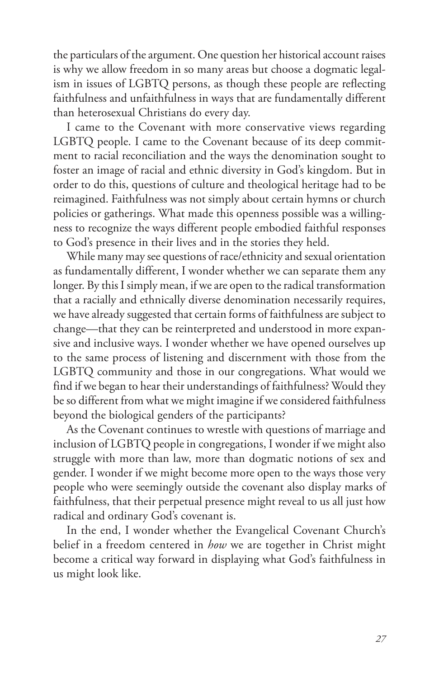the particulars of the argument. One question her historical account raises is why we allow freedom in so many areas but choose a dogmatic legalism in issues of LGBTQ persons, as though these people are reflecting faithfulness and unfaithfulness in ways that are fundamentally different than heterosexual Christians do every day.

I came to the Covenant with more conservative views regarding LGBTQ people. I came to the Covenant because of its deep commitment to racial reconciliation and the ways the denomination sought to foster an image of racial and ethnic diversity in God's kingdom. But in order to do this, questions of culture and theological heritage had to be reimagined. Faithfulness was not simply about certain hymns or church policies or gatherings. What made this openness possible was a willingness to recognize the ways different people embodied faithful responses to God's presence in their lives and in the stories they held.

While many may see questions of race/ethnicity and sexual orientation as fundamentally different, I wonder whether we can separate them any longer. By this I simply mean, if we are open to the radical transformation that a racially and ethnically diverse denomination necessarily requires, we have already suggested that certain forms of faithfulness are subject to change—that they can be reinterpreted and understood in more expansive and inclusive ways. I wonder whether we have opened ourselves up to the same process of listening and discernment with those from the LGBTQ community and those in our congregations. What would we find if we began to hear their understandings of faithfulness? Would they be so different from what we might imagine if we considered faithfulness beyond the biological genders of the participants?

As the Covenant continues to wrestle with questions of marriage and inclusion of LGBTQ people in congregations, I wonder if we might also struggle with more than law, more than dogmatic notions of sex and gender. I wonder if we might become more open to the ways those very people who were seemingly outside the covenant also display marks of faithfulness, that their perpetual presence might reveal to us all just how radical and ordinary God's covenant is.

In the end, I wonder whether the Evangelical Covenant Church's belief in a freedom centered in *how* we are together in Christ might become a critical way forward in displaying what God's faithfulness in us might look like.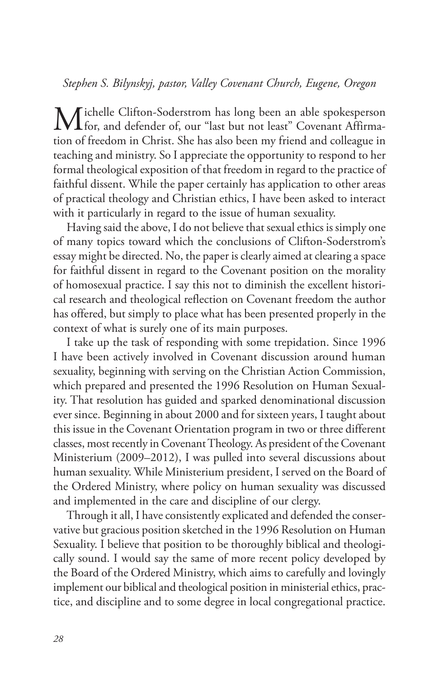## *Stephen S. Bilynskyj, pastor, Valley Covenant Church, Eugene, Oregon*

Michelle Clifton-Soderstrom has long been an able spokesperson<br>
for, and defender of, our "last but not least" Covenant Affirmation of freedom in Christ. She has also been my friend and colleague in teaching and ministry. So I appreciate the opportunity to respond to her formal theological exposition of that freedom in regard to the practice of faithful dissent. While the paper certainly has application to other areas of practical theology and Christian ethics, I have been asked to interact with it particularly in regard to the issue of human sexuality.

Having said the above, I do not believe that sexual ethics is simply one of many topics toward which the conclusions of Clifton-Soderstrom's essay might be directed. No, the paper is clearly aimed at clearing a space for faithful dissent in regard to the Covenant position on the morality of homosexual practice. I say this not to diminish the excellent historical research and theological reflection on Covenant freedom the author has offered, but simply to place what has been presented properly in the context of what is surely one of its main purposes.

I take up the task of responding with some trepidation. Since 1996 I have been actively involved in Covenant discussion around human sexuality, beginning with serving on the Christian Action Commission, which prepared and presented the 1996 Resolution on Human Sexuality. That resolution has guided and sparked denominational discussion ever since. Beginning in about 2000 and for sixteen years, I taught about this issue in the Covenant Orientation program in two or three different classes, most recently in Covenant Theology. As president of the Covenant Ministerium (2009–2012), I was pulled into several discussions about human sexuality. While Ministerium president, I served on the Board of the Ordered Ministry, where policy on human sexuality was discussed and implemented in the care and discipline of our clergy.

Through it all, I have consistently explicated and defended the conservative but gracious position sketched in the 1996 Resolution on Human Sexuality. I believe that position to be thoroughly biblical and theologically sound. I would say the same of more recent policy developed by the Board of the Ordered Ministry, which aims to carefully and lovingly implement our biblical and theological position in ministerial ethics, practice, and discipline and to some degree in local congregational practice.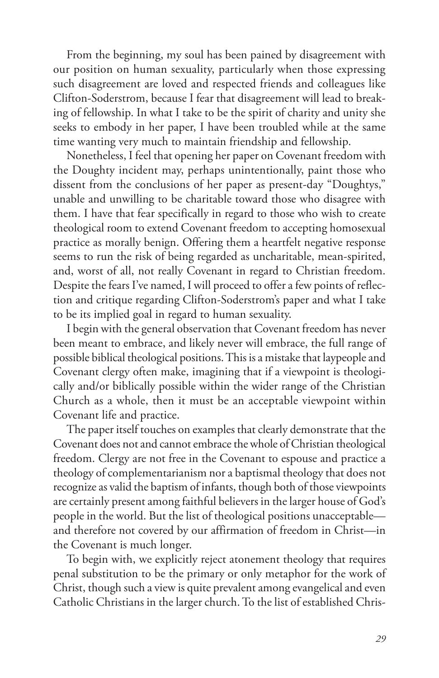From the beginning, my soul has been pained by disagreement with our position on human sexuality, particularly when those expressing such disagreement are loved and respected friends and colleagues like Clifton-Soderstrom, because I fear that disagreement will lead to breaking of fellowship. In what I take to be the spirit of charity and unity she seeks to embody in her paper, I have been troubled while at the same time wanting very much to maintain friendship and fellowship.

Nonetheless, I feel that opening her paper on Covenant freedom with the Doughty incident may, perhaps unintentionally, paint those who dissent from the conclusions of her paper as present-day "Doughtys," unable and unwilling to be charitable toward those who disagree with them. I have that fear specifically in regard to those who wish to create theological room to extend Covenant freedom to accepting homosexual practice as morally benign. Offering them a heartfelt negative response seems to run the risk of being regarded as uncharitable, mean-spirited, and, worst of all, not really Covenant in regard to Christian freedom. Despite the fears I've named, I will proceed to offer a few points of reflection and critique regarding Clifton-Soderstrom's paper and what I take to be its implied goal in regard to human sexuality.

I begin with the general observation that Covenant freedom has never been meant to embrace, and likely never will embrace, the full range of possible biblical theological positions. This is a mistake that laypeople and Covenant clergy often make, imagining that if a viewpoint is theologically and/or biblically possible within the wider range of the Christian Church as a whole, then it must be an acceptable viewpoint within Covenant life and practice.

The paper itself touches on examples that clearly demonstrate that the Covenant does not and cannot embrace the whole of Christian theological freedom. Clergy are not free in the Covenant to espouse and practice a theology of complementarianism nor a baptismal theology that does not recognize as valid the baptism of infants, though both of those viewpoints are certainly present among faithful believers in the larger house of God's people in the world. But the list of theological positions unacceptable and therefore not covered by our affirmation of freedom in Christ—in the Covenant is much longer.

To begin with, we explicitly reject atonement theology that requires penal substitution to be the primary or only metaphor for the work of Christ, though such a view is quite prevalent among evangelical and even Catholic Christians in the larger church. To the list of established Chris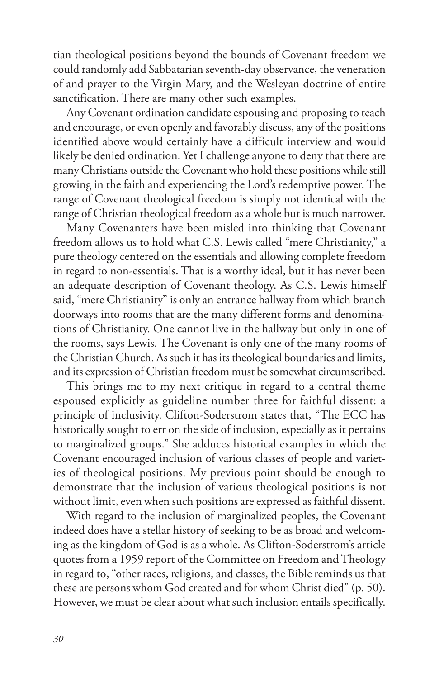tian theological positions beyond the bounds of Covenant freedom we could randomly add Sabbatarian seventh-day observance, the veneration of and prayer to the Virgin Mary, and the Wesleyan doctrine of entire sanctification. There are many other such examples.

Any Covenant ordination candidate espousing and proposing to teach and encourage, or even openly and favorably discuss, any of the positions identified above would certainly have a difficult interview and would likely be denied ordination. Yet I challenge anyone to deny that there are many Christians outside the Covenant who hold these positions while still growing in the faith and experiencing the Lord's redemptive power. The range of Covenant theological freedom is simply not identical with the range of Christian theological freedom as a whole but is much narrower.

Many Covenanters have been misled into thinking that Covenant freedom allows us to hold what C.S. Lewis called "mere Christianity," a pure theology centered on the essentials and allowing complete freedom in regard to non-essentials. That is a worthy ideal, but it has never been an adequate description of Covenant theology. As C.S. Lewis himself said, "mere Christianity" is only an entrance hallway from which branch doorways into rooms that are the many different forms and denominations of Christianity. One cannot live in the hallway but only in one of the rooms, says Lewis. The Covenant is only one of the many rooms of the Christian Church. As such it has its theological boundaries and limits, and its expression of Christian freedom must be somewhat circumscribed.

This brings me to my next critique in regard to a central theme espoused explicitly as guideline number three for faithful dissent: a principle of inclusivity. Clifton-Soderstrom states that, "The ECC has historically sought to err on the side of inclusion, especially as it pertains to marginalized groups." She adduces historical examples in which the Covenant encouraged inclusion of various classes of people and varieties of theological positions. My previous point should be enough to demonstrate that the inclusion of various theological positions is not without limit, even when such positions are expressed as faithful dissent.

With regard to the inclusion of marginalized peoples, the Covenant indeed does have a stellar history of seeking to be as broad and welcoming as the kingdom of God is as a whole. As Clifton-Soderstrom's article quotes from a 1959 report of the Committee on Freedom and Theology in regard to, "other races, religions, and classes, the Bible reminds us that these are persons whom God created and for whom Christ died" (p. 50). However, we must be clear about what such inclusion entails specifically.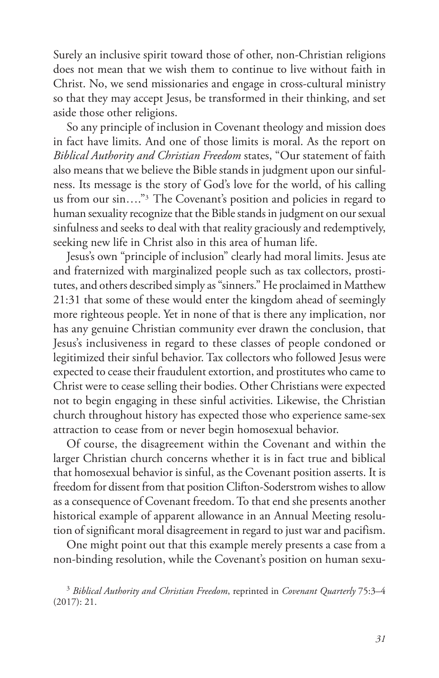Surely an inclusive spirit toward those of other, non-Christian religions does not mean that we wish them to continue to live without faith in Christ. No, we send missionaries and engage in cross-cultural ministry so that they may accept Jesus, be transformed in their thinking, and set aside those other religions.

So any principle of inclusion in Covenant theology and mission does in fact have limits. And one of those limits is moral. As the report on *Biblical Authority and Christian Freedom* states, "Our statement of faith also means that we believe the Bible stands in judgment upon our sinfulness. Its message is the story of God's love for the world, of his calling us from our sin...."<sup>3</sup> The Covenant's position and policies in regard to human sexuality recognize that the Bible stands in judgment on our sexual sinfulness and seeks to deal with that reality graciously and redemptively, seeking new life in Christ also in this area of human life.

Jesus's own "principle of inclusion" clearly had moral limits. Jesus ate and fraternized with marginalized people such as tax collectors, prostitutes, and others described simply as "sinners." He proclaimed in Matthew 21:31 that some of these would enter the kingdom ahead of seemingly more righteous people. Yet in none of that is there any implication, nor has any genuine Christian community ever drawn the conclusion, that Jesus's inclusiveness in regard to these classes of people condoned or legitimized their sinful behavior. Tax collectors who followed Jesus were expected to cease their fraudulent extortion, and prostitutes who came to Christ were to cease selling their bodies. Other Christians were expected not to begin engaging in these sinful activities. Likewise, the Christian church throughout history has expected those who experience same-sex attraction to cease from or never begin homosexual behavior.

Of course, the disagreement within the Covenant and within the larger Christian church concerns whether it is in fact true and biblical that homosexual behavior is sinful, as the Covenant position asserts. It is freedom for dissent from that position Clifton-Soderstrom wishes to allow as a consequence of Covenant freedom. To that end she presents another historical example of apparent allowance in an Annual Meeting resolution of significant moral disagreement in regard to just war and pacifism.

One might point out that this example merely presents a case from a non-binding resolution, while the Covenant's position on human sexu-

<sup>3</sup> *Biblical Authority and Christian Freedom*, reprinted in *Covenant Quarterly* 75:3–4 (2017): 21.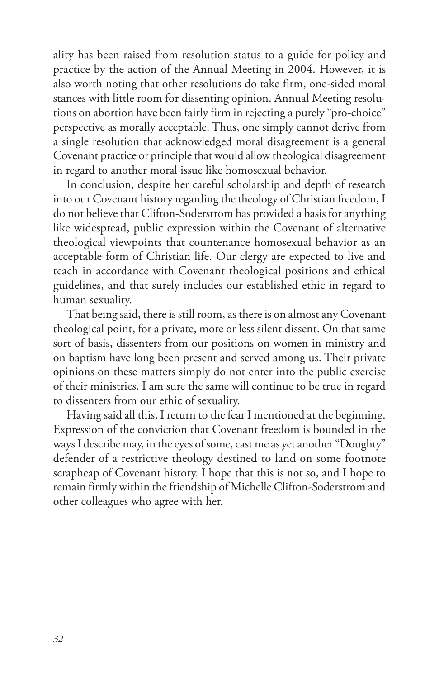ality has been raised from resolution status to a guide for policy and practice by the action of the Annual Meeting in 2004. However, it is also worth noting that other resolutions do take firm, one-sided moral stances with little room for dissenting opinion. Annual Meeting resolutions on abortion have been fairly firm in rejecting a purely "pro-choice" perspective as morally acceptable. Thus, one simply cannot derive from a single resolution that acknowledged moral disagreement is a general Covenant practice or principle that would allow theological disagreement in regard to another moral issue like homosexual behavior.

In conclusion, despite her careful scholarship and depth of research into our Covenant history regarding the theology of Christian freedom, I do not believe that Clifton-Soderstrom has provided a basis for anything like widespread, public expression within the Covenant of alternative theological viewpoints that countenance homosexual behavior as an acceptable form of Christian life. Our clergy are expected to live and teach in accordance with Covenant theological positions and ethical guidelines, and that surely includes our established ethic in regard to human sexuality.

That being said, there is still room, as there is on almost any Covenant theological point, for a private, more or less silent dissent. On that same sort of basis, dissenters from our positions on women in ministry and on baptism have long been present and served among us. Their private opinions on these matters simply do not enter into the public exercise of their ministries. I am sure the same will continue to be true in regard to dissenters from our ethic of sexuality.

Having said all this, I return to the fear I mentioned at the beginning. Expression of the conviction that Covenant freedom is bounded in the ways I describe may, in the eyes of some, cast me as yet another "Doughty" defender of a restrictive theology destined to land on some footnote scrapheap of Covenant history. I hope that this is not so, and I hope to remain firmly within the friendship of Michelle Clifton-Soderstrom and other colleagues who agree with her.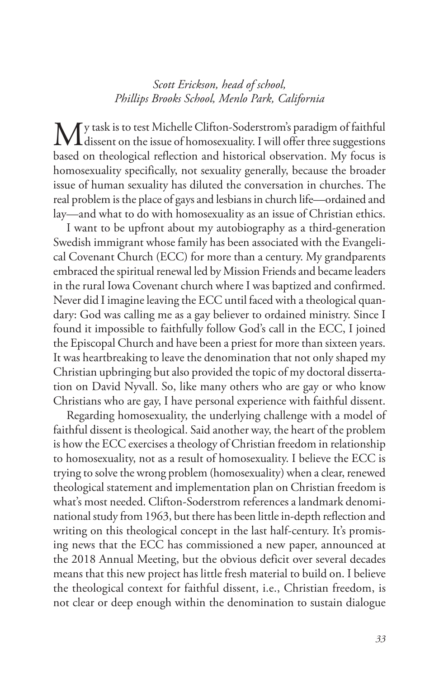## *Scott Erickson, head of school, Phillips Brooks School, Menlo Park, California*

My task is to test Michelle Clifton-Soderstrom's paradigm of faithful<br>dissent on the issue of homosexuality. I will offer three suggestions based on theological reflection and historical observation. My focus is homosexuality specifically, not sexuality generally, because the broader issue of human sexuality has diluted the conversation in churches. The real problem is the place of gays and lesbians in church life—ordained and lay—and what to do with homosexuality as an issue of Christian ethics.

I want to be upfront about my autobiography as a third-generation Swedish immigrant whose family has been associated with the Evangelical Covenant Church (ECC) for more than a century. My grandparents embraced the spiritual renewal led by Mission Friends and became leaders in the rural Iowa Covenant church where I was baptized and confirmed. Never did I imagine leaving the ECC until faced with a theological quandary: God was calling me as a gay believer to ordained ministry. Since I found it impossible to faithfully follow God's call in the ECC, I joined the Episcopal Church and have been a priest for more than sixteen years. It was heartbreaking to leave the denomination that not only shaped my Christian upbringing but also provided the topic of my doctoral dissertation on David Nyvall. So, like many others who are gay or who know Christians who are gay, I have personal experience with faithful dissent.

Regarding homosexuality, the underlying challenge with a model of faithful dissent is theological. Said another way, the heart of the problem is how the ECC exercises a theology of Christian freedom in relationship to homosexuality, not as a result of homosexuality. I believe the ECC is trying to solve the wrong problem (homosexuality) when a clear, renewed theological statement and implementation plan on Christian freedom is what's most needed. Clifton-Soderstrom references a landmark denominational study from 1963, but there has been little in-depth reflection and writing on this theological concept in the last half-century. It's promising news that the ECC has commissioned a new paper, announced at the 2018 Annual Meeting, but the obvious deficit over several decades means that this new project has little fresh material to build on. I believe the theological context for faithful dissent, i.e., Christian freedom, is not clear or deep enough within the denomination to sustain dialogue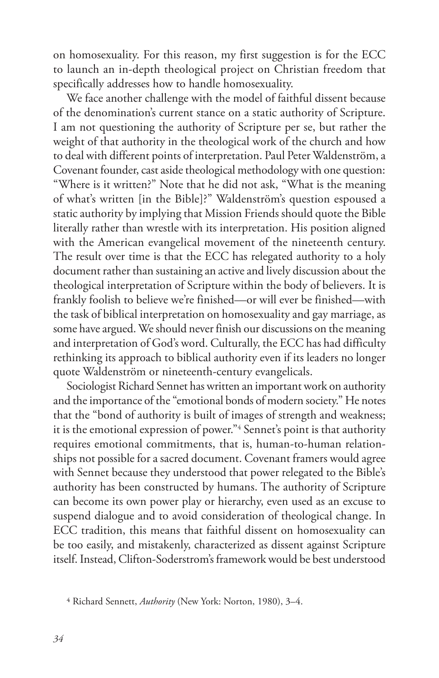on homosexuality. For this reason, my first suggestion is for the ECC to launch an in-depth theological project on Christian freedom that specifically addresses how to handle homosexuality.

We face another challenge with the model of faithful dissent because of the denomination's current stance on a static authority of Scripture. I am not questioning the authority of Scripture per se, but rather the weight of that authority in the theological work of the church and how to deal with different points of interpretation. Paul Peter Waldenström, a Covenant founder, cast aside theological methodology with one question: "Where is it written?" Note that he did not ask, "What is the meaning of what's written [in the Bible]?" Waldenström's question espoused a static authority by implying that Mission Friends should quote the Bible literally rather than wrestle with its interpretation. His position aligned with the American evangelical movement of the nineteenth century. The result over time is that the ECC has relegated authority to a holy document rather than sustaining an active and lively discussion about the theological interpretation of Scripture within the body of believers. It is frankly foolish to believe we're finished—or will ever be finished—with the task of biblical interpretation on homosexuality and gay marriage, as some have argued. We should never finish our discussions on the meaning and interpretation of God's word. Culturally, the ECC has had difficulty rethinking its approach to biblical authority even if its leaders no longer quote Waldenström or nineteenth-century evangelicals.

Sociologist Richard Sennet has written an important work on authority and the importance of the "emotional bonds of modern society." He notes that the "bond of authority is built of images of strength and weakness; it is the emotional expression of power."4 Sennet's point is that authority requires emotional commitments, that is, human-to-human relationships not possible for a sacred document. Covenant framers would agree with Sennet because they understood that power relegated to the Bible's authority has been constructed by humans. The authority of Scripture can become its own power play or hierarchy, even used as an excuse to suspend dialogue and to avoid consideration of theological change. In ECC tradition, this means that faithful dissent on homosexuality can be too easily, and mistakenly, characterized as dissent against Scripture itself. Instead, Clifton-Soderstrom's framework would be best understood

<sup>4</sup> Richard Sennett, *Authority* (New York: Norton, 1980), 3–4.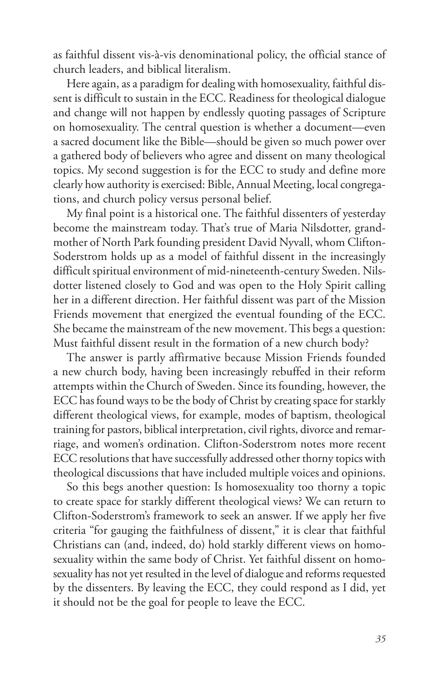as faithful dissent vis-à-vis denominational policy, the official stance of church leaders, and biblical literalism.

Here again, as a paradigm for dealing with homosexuality, faithful dissent is difficult to sustain in the ECC. Readiness for theological dialogue and change will not happen by endlessly quoting passages of Scripture on homosexuality. The central question is whether a document—even a sacred document like the Bible—should be given so much power over a gathered body of believers who agree and dissent on many theological topics. My second suggestion is for the ECC to study and define more clearly how authority is exercised: Bible, Annual Meeting, local congregations, and church policy versus personal belief.

My final point is a historical one. The faithful dissenters of yesterday become the mainstream today. That's true of Maria Nilsdotter, grandmother of North Park founding president David Nyvall, whom Clifton-Soderstrom holds up as a model of faithful dissent in the increasingly difficult spiritual environment of mid-nineteenth-century Sweden. Nilsdotter listened closely to God and was open to the Holy Spirit calling her in a different direction. Her faithful dissent was part of the Mission Friends movement that energized the eventual founding of the ECC. She became the mainstream of the new movement. This begs a question: Must faithful dissent result in the formation of a new church body?

The answer is partly affirmative because Mission Friends founded a new church body, having been increasingly rebuffed in their reform attempts within the Church of Sweden. Since its founding, however, the ECC has found ways to be the body of Christ by creating space for starkly different theological views, for example, modes of baptism, theological training for pastors, biblical interpretation, civil rights, divorce and remarriage, and women's ordination. Clifton-Soderstrom notes more recent ECC resolutions that have successfully addressed other thorny topics with theological discussions that have included multiple voices and opinions.

So this begs another question: Is homosexuality too thorny a topic to create space for starkly different theological views? We can return to Clifton-Soderstrom's framework to seek an answer. If we apply her five criteria "for gauging the faithfulness of dissent," it is clear that faithful Christians can (and, indeed, do) hold starkly different views on homosexuality within the same body of Christ. Yet faithful dissent on homosexuality has not yet resulted in the level of dialogue and reforms requested by the dissenters. By leaving the ECC, they could respond as I did, yet it should not be the goal for people to leave the ECC.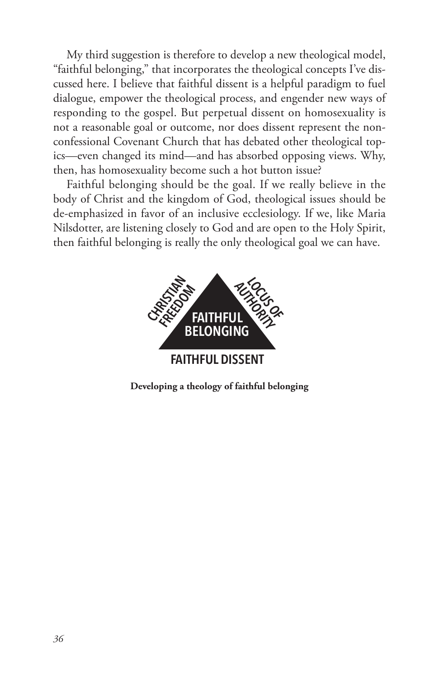My third suggestion is therefore to develop a new theological model, "faithful belonging," that incorporates the theological concepts I've discussed here. I believe that faithful dissent is a helpful paradigm to fuel dialogue, empower the theological process, and engender new ways of responding to the gospel. But perpetual dissent on homosexuality is not a reasonable goal or outcome, nor does dissent represent the nonconfessional Covenant Church that has debated other theological topics—even changed its mind—and has absorbed opposing views. Why, then, has homosexuality become such a hot button issue?

Faithful belonging should be the goal. If we really believe in the body of Christ and the kingdom of God, theological issues should be de-emphasized in favor of an inclusive ecclesiology. If we, like Maria Nilsdotter, are listening closely to God and are open to the Holy Spirit, then faithful belonging is really the only theological goal we can have.



**Developing a theology of faithful belonging**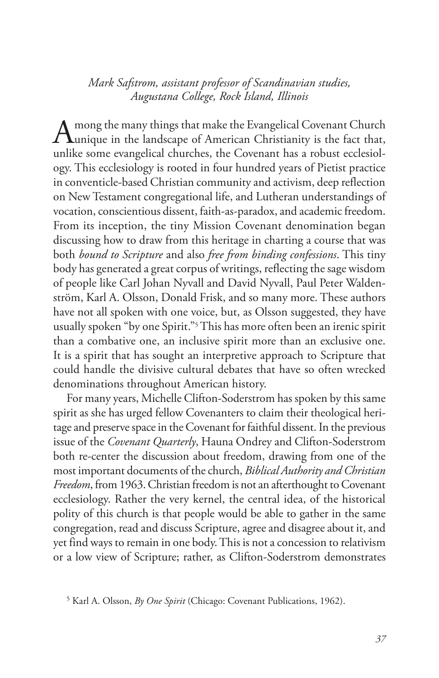*Mark Safstrom, assistant professor of Scandinavian studies, Augustana College, Rock Island, Illinois*

Among the many things that make the Evangelical Covenant Church<br>
unique in the landscape of American Christianity is the fact that, unlike some evangelical churches, the Covenant has a robust ecclesiology. This ecclesiology is rooted in four hundred years of Pietist practice in conventicle-based Christian community and activism, deep reflection on New Testament congregational life, and Lutheran understandings of vocation, conscientious dissent, faith-as-paradox, and academic freedom. From its inception, the tiny Mission Covenant denomination began discussing how to draw from this heritage in charting a course that was both *bound to Scripture* and also *free from binding confessions*. This tiny body has generated a great corpus of writings, reflecting the sage wisdom of people like Carl Johan Nyvall and David Nyvall, Paul Peter Waldenström, Karl A. Olsson, Donald Frisk, and so many more. These authors have not all spoken with one voice, but, as Olsson suggested, they have usually spoken "by one Spirit."5 This has more often been an irenic spirit than a combative one, an inclusive spirit more than an exclusive one. It is a spirit that has sought an interpretive approach to Scripture that could handle the divisive cultural debates that have so often wrecked denominations throughout American history.

For many years, Michelle Clifton-Soderstrom has spoken by this same spirit as she has urged fellow Covenanters to claim their theological heritage and preserve space in the Covenant for faithful dissent. In the previous issue of the *Covenant Quarterly*, Hauna Ondrey and Clifton-Soderstrom both re-center the discussion about freedom, drawing from one of the most important documents of the church, *Biblical Authority and Christian Freedom*, from 1963. Christian freedom is not an afterthought to Covenant ecclesiology. Rather the very kernel, the central idea, of the historical polity of this church is that people would be able to gather in the same congregation, read and discuss Scripture, agree and disagree about it, and yet find ways to remain in one body. This is not a concession to relativism or a low view of Scripture; rather, as Clifton-Soderstrom demonstrates

<sup>5</sup> Karl A. Olsson, *By One Spirit* (Chicago: Covenant Publications, 1962).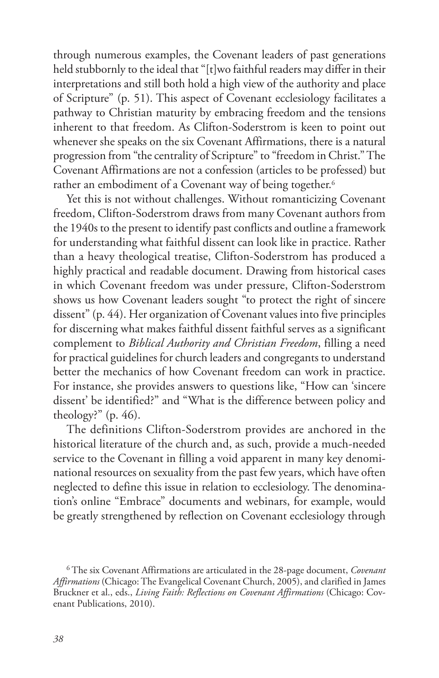through numerous examples, the Covenant leaders of past generations held stubbornly to the ideal that "[t]wo faithful readers may differ in their interpretations and still both hold a high view of the authority and place of Scripture" (p. 51). This aspect of Covenant ecclesiology facilitates a pathway to Christian maturity by embracing freedom and the tensions inherent to that freedom. As Clifton-Soderstrom is keen to point out whenever she speaks on the six Covenant Affirmations, there is a natural progression from "the centrality of Scripture" to "freedom in Christ." The Covenant Affirmations are not a confession (articles to be professed) but rather an embodiment of a Covenant way of being together.<sup>6</sup>

Yet this is not without challenges. Without romanticizing Covenant freedom, Clifton-Soderstrom draws from many Covenant authors from the 1940s to the present to identify past conflicts and outline a framework for understanding what faithful dissent can look like in practice. Rather than a heavy theological treatise, Clifton-Soderstrom has produced a highly practical and readable document. Drawing from historical cases in which Covenant freedom was under pressure, Clifton-Soderstrom shows us how Covenant leaders sought "to protect the right of sincere dissent" (p. 44). Her organization of Covenant values into five principles for discerning what makes faithful dissent faithful serves as a significant complement to *Biblical Authority and Christian Freedom*, filling a need for practical guidelines for church leaders and congregants to understand better the mechanics of how Covenant freedom can work in practice. For instance, she provides answers to questions like, "How can 'sincere dissent' be identified?" and "What is the difference between policy and theology?" (p. 46).

The definitions Clifton-Soderstrom provides are anchored in the historical literature of the church and, as such, provide a much-needed service to the Covenant in filling a void apparent in many key denominational resources on sexuality from the past few years, which have often neglected to define this issue in relation to ecclesiology. The denomination's online "Embrace" documents and webinars, for example, would be greatly strengthened by reflection on Covenant ecclesiology through

<sup>6</sup> The six Covenant Affirmations are articulated in the 28-page document, *Covenant Affirmations* (Chicago: The Evangelical Covenant Church, 2005), and clarified in James Bruckner et al., eds., *Living Faith: Reflections on Covenant Affirmations* (Chicago: Covenant Publications, 2010).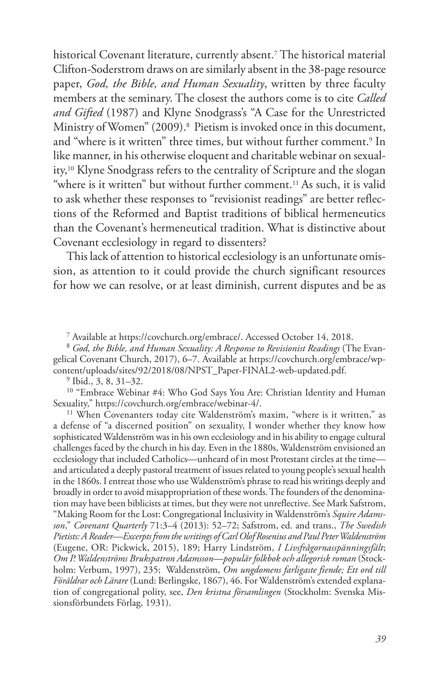historical Covenant literature, currently absent.7 The historical material Clifton-Soderstrom draws on are similarly absent in the 38-page resource paper, *God, the Bible, and Human Sexuality*, written by three faculty members at the seminary. The closest the authors come is to cite *Called and Gifted* (1987) and Klyne Snodgrass's "A Case for the Unrestricted Ministry of Women" (2009).<sup>8</sup> Pietism is invoked once in this document, and "where is it written" three times, but without further comment.<sup>9</sup> In like manner, in his otherwise eloquent and charitable webinar on sexuality,10 Klyne Snodgrass refers to the centrality of Scripture and the slogan "where is it written" but without further comment.<sup>11</sup> As such, it is valid to ask whether these responses to "revisionist readings" are better reflections of the Reformed and Baptist traditions of biblical hermeneutics than the Covenant's hermeneutical tradition. What is distinctive about Covenant ecclesiology in regard to dissenters?

This lack of attention to historical ecclesiology is an unfortunate omission, as attention to it could provide the church significant resources for how we can resolve, or at least diminish, current disputes and be as

7 Available at https://covchurch.org/embrace/. Accessed October 14, 2018.

<sup>8</sup> *God, the Bible, and Human Sexuality: A Response to Revisionist Readings* (The Evangelical Covenant Church, 2017), 6–7. Available at https://covchurch.org/embrace/wpcontent/uploads/sites/92/2018/08/NPST\_Paper-FINAL2-web-updated.pdf.

 $9$  Ibid., 3, 8, 31–32.

<sup>10</sup> "Embrace Webinar #4: Who God Says You Are: Christian Identity and Human Sexuality," https://covchurch.org/embrace/webinar-4/.

11 When Covenanters today cite Waldenström's maxim, "where is it written," as a defense of "a discerned position" on sexuality, I wonder whether they know how sophisticated Waldenström was in his own ecclesiology and in his ability to engage cultural challenges faced by the church in his day. Even in the 1880s, Waldenström envisioned an ecclesiology that included Catholics—unheard of in most Protestant circles at the time and articulated a deeply pastoral treatment of issues related to young people's sexual health in the 1860s. I entreat those who use Waldenström's phrase to read his writings deeply and broadly in order to avoid misappropriation of these words. The founders of the denomination may have been biblicists at times, but they were not unreflective. See Mark Safstrom, "Making Room for the Lost: Congregational Inclusivity in Waldenström's *Squire Adamsson*," *Covenant Quarterly* 71:3–4 (2013): 52–72; Safstrom, ed. and trans., *The Swedish Pietists: A Reader—Excerpts from the writings of Carl Olof Rosenius and Paul Peter Waldenström* (Eugene, OR: Pickwick, 2015), 189; Harry Lindström, *I Livsfrågornasspänningsfält*; *Om P. Waldenströms Brukspatron Adamsson—populär folkbok och allegorisk roman* (Stockholm: Verbum, 1997), 235; Waldenström, *Om ungdomens farligaste fiende; Ett ord till Föräldrar och Lärare* (Lund: Berlingske, 1867), 46. For Waldenström's extended explanation of congregational polity, see, *Den kristna församlingen* (Stockholm: Svenska Missionsförbundets Förlag, 1931).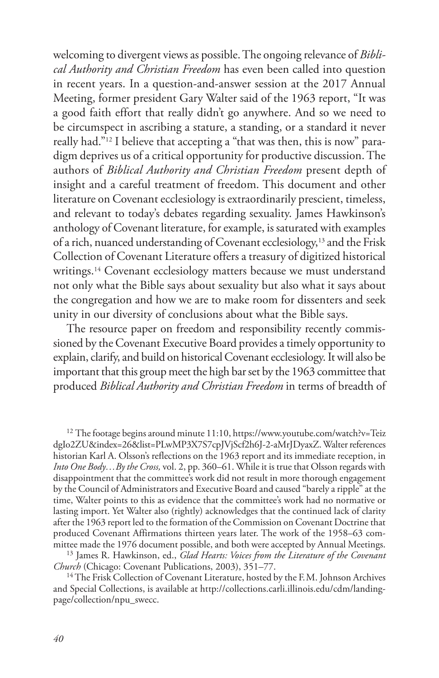welcoming to divergent views as possible. The ongoing relevance of *Biblical Authority and Christian Freedom* has even been called into question in recent years. In a question-and-answer session at the 2017 Annual Meeting, former president Gary Walter said of the 1963 report, "It was a good faith effort that really didn't go anywhere. And so we need to be circumspect in ascribing a stature, a standing, or a standard it never really had."12 I believe that accepting a "that was then, this is now" paradigm deprives us of a critical opportunity for productive discussion. The authors of *Biblical Authority and Christian Freedom* present depth of insight and a careful treatment of freedom. This document and other literature on Covenant ecclesiology is extraordinarily prescient, timeless, and relevant to today's debates regarding sexuality. James Hawkinson's anthology of Covenant literature, for example, is saturated with examples of a rich, nuanced understanding of Covenant ecclesiology,13 and the Frisk Collection of Covenant Literature offers a treasury of digitized historical writings.<sup>14</sup> Covenant ecclesiology matters because we must understand not only what the Bible says about sexuality but also what it says about the congregation and how we are to make room for dissenters and seek unity in our diversity of conclusions about what the Bible says.

The resource paper on freedom and responsibility recently commissioned by the Covenant Executive Board provides a timely opportunity to explain, clarify, and build on historical Covenant ecclesiology. It will also be important that this group meet the high bar set by the 1963 committee that produced *Biblical Authority and Christian Freedom* in terms of breadth of

 $12$  The footage begins around minute 11:10, https://www.youtube.com/watch?v=Teiz dgIo2ZU&index=26&list=PLwMP3X7S7cpJVjScf2h6J-2-aMrJDyaxZ. Walter references historian Karl A. Olsson's reflections on the 1963 report and its immediate reception, in *Into One Body…By the Cross,* vol. 2, pp. 360–61. While it is true that Olsson regards with disappointment that the committee's work did not result in more thorough engagement by the Council of Administrators and Executive Board and caused "barely a ripple" at the time, Walter points to this as evidence that the committee's work had no normative or lasting import. Yet Walter also (rightly) acknowledges that the continued lack of clarity after the 1963 report led to the formation of the Commission on Covenant Doctrine that produced Covenant Affirmations thirteen years later. The work of the 1958–63 committee made the 1976 document possible, and both were accepted by Annual Meetings.

13 James R. Hawkinson, ed., *Glad Hearts: Voices from the Literature of the Covenant Church* (Chicago: Covenant Publications, 2003), 351–77.

<sup>14</sup> The Frisk Collection of Covenant Literature, hosted by the F.M. Johnson Archives and Special Collections, is available at http://collections.carli.illinois.edu/cdm/landingpage/collection/npu\_swecc.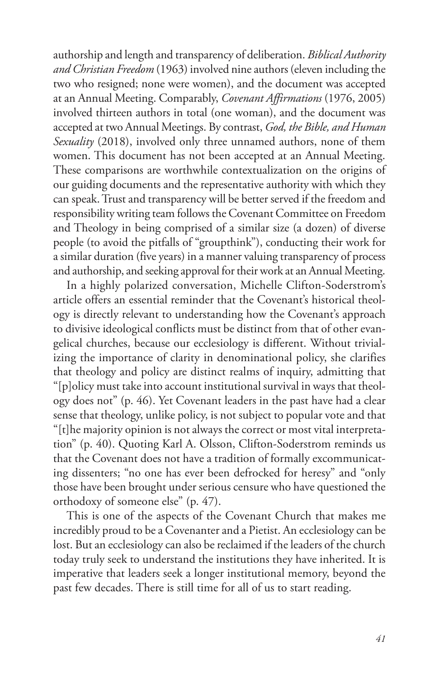authorship and length and transparency of deliberation. *Biblical Authority and Christian Freedom* (1963) involved nine authors (eleven including the two who resigned; none were women), and the document was accepted at an Annual Meeting. Comparably, *Covenant Affirmations* (1976, 2005) involved thirteen authors in total (one woman), and the document was accepted at two Annual Meetings. By contrast, *God, the Bible, and Human Sexuality* (2018), involved only three unnamed authors, none of them women. This document has not been accepted at an Annual Meeting. These comparisons are worthwhile contextualization on the origins of our guiding documents and the representative authority with which they can speak. Trust and transparency will be better served if the freedom and responsibility writing team follows the Covenant Committee on Freedom and Theology in being comprised of a similar size (a dozen) of diverse people (to avoid the pitfalls of "groupthink"), conducting their work for a similar duration (five years) in a manner valuing transparency of process and authorship, and seeking approval for their work at an Annual Meeting.

In a highly polarized conversation, Michelle Clifton-Soderstrom's article offers an essential reminder that the Covenant's historical theology is directly relevant to understanding how the Covenant's approach to divisive ideological conflicts must be distinct from that of other evangelical churches, because our ecclesiology is different. Without trivializing the importance of clarity in denominational policy, she clarifies that theology and policy are distinct realms of inquiry, admitting that "[p]olicy must take into account institutional survival in ways that theology does not" (p. 46). Yet Covenant leaders in the past have had a clear sense that theology, unlike policy, is not subject to popular vote and that "[t]he majority opinion is not always the correct or most vital interpretation" (p. 40). Quoting Karl A. Olsson, Clifton-Soderstrom reminds us that the Covenant does not have a tradition of formally excommunicating dissenters; "no one has ever been defrocked for heresy" and "only those have been brought under serious censure who have questioned the orthodoxy of someone else" (p. 47).

This is one of the aspects of the Covenant Church that makes me incredibly proud to be a Covenanter and a Pietist. An ecclesiology can be lost. But an ecclesiology can also be reclaimed if the leaders of the church today truly seek to understand the institutions they have inherited. It is imperative that leaders seek a longer institutional memory, beyond the past few decades. There is still time for all of us to start reading.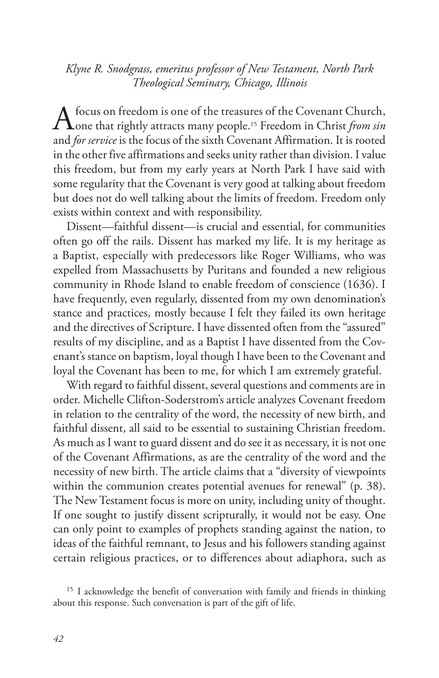*Klyne R. Snodgrass, emeritus professor of New Testament, North Park Theological Seminary, Chicago, Illinois*

A focus on freedom is one of the treasures of the Covenant Church,<br>
one that rightly attracts many people.<sup>15</sup> Freedom in Christ *from sin* and *for service* is the focus of the sixth Covenant Affirmation. It is rooted in the other five affirmations and seeks unity rather than division. I value this freedom, but from my early years at North Park I have said with some regularity that the Covenant is very good at talking about freedom but does not do well talking about the limits of freedom. Freedom only exists within context and with responsibility.

Dissent—faithful dissent—is crucial and essential, for communities often go off the rails. Dissent has marked my life. It is my heritage as a Baptist, especially with predecessors like Roger Williams, who was expelled from Massachusetts by Puritans and founded a new religious community in Rhode Island to enable freedom of conscience (1636). I have frequently, even regularly, dissented from my own denomination's stance and practices, mostly because I felt they failed its own heritage and the directives of Scripture. I have dissented often from the "assured" results of my discipline, and as a Baptist I have dissented from the Covenant's stance on baptism, loyal though I have been to the Covenant and loyal the Covenant has been to me, for which I am extremely grateful.

With regard to faithful dissent, several questions and comments are in order. Michelle Clifton-Soderstrom's article analyzes Covenant freedom in relation to the centrality of the word, the necessity of new birth, and faithful dissent, all said to be essential to sustaining Christian freedom. As much as I want to guard dissent and do see it as necessary, it is not one of the Covenant Affirmations, as are the centrality of the word and the necessity of new birth. The article claims that a "diversity of viewpoints within the communion creates potential avenues for renewal" (p. 38). The New Testament focus is more on unity, including unity of thought. If one sought to justify dissent scripturally, it would not be easy. One can only point to examples of prophets standing against the nation, to ideas of the faithful remnant, to Jesus and his followers standing against certain religious practices, or to differences about adiaphora, such as

<sup>&</sup>lt;sup>15</sup> I acknowledge the benefit of conversation with family and friends in thinking about this response. Such conversation is part of the gift of life.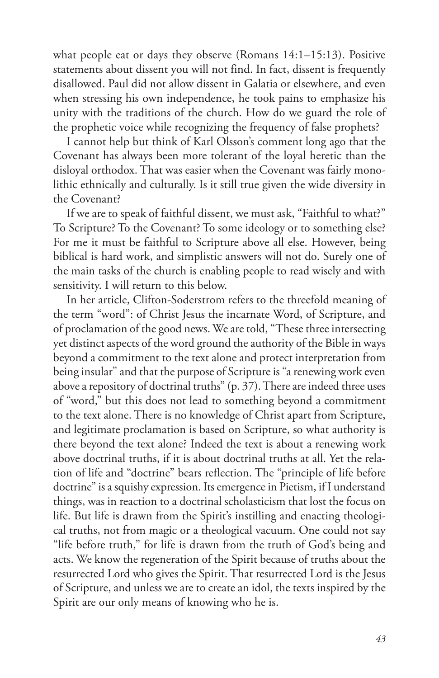what people eat or days they observe (Romans 14:1–15:13). Positive statements about dissent you will not find. In fact, dissent is frequently disallowed. Paul did not allow dissent in Galatia or elsewhere, and even when stressing his own independence, he took pains to emphasize his unity with the traditions of the church. How do we guard the role of the prophetic voice while recognizing the frequency of false prophets?

I cannot help but think of Karl Olsson's comment long ago that the Covenant has always been more tolerant of the loyal heretic than the disloyal orthodox. That was easier when the Covenant was fairly monolithic ethnically and culturally. Is it still true given the wide diversity in the Covenant?

If we are to speak of faithful dissent, we must ask, "Faithful to what?" To Scripture? To the Covenant? To some ideology or to something else? For me it must be faithful to Scripture above all else. However, being biblical is hard work, and simplistic answers will not do. Surely one of the main tasks of the church is enabling people to read wisely and with sensitivity. I will return to this below.

In her article, Clifton-Soderstrom refers to the threefold meaning of the term "word": of Christ Jesus the incarnate Word, of Scripture, and of proclamation of the good news. We are told, "These three intersecting yet distinct aspects of the word ground the authority of the Bible in ways beyond a commitment to the text alone and protect interpretation from being insular" and that the purpose of Scripture is "a renewing work even above a repository of doctrinal truths" (p. 37). There are indeed three uses of "word," but this does not lead to something beyond a commitment to the text alone. There is no knowledge of Christ apart from Scripture, and legitimate proclamation is based on Scripture, so what authority is there beyond the text alone? Indeed the text is about a renewing work above doctrinal truths, if it is about doctrinal truths at all. Yet the relation of life and "doctrine" bears reflection. The "principle of life before doctrine" is a squishy expression. Its emergence in Pietism, if I understand things, was in reaction to a doctrinal scholasticism that lost the focus on life. But life is drawn from the Spirit's instilling and enacting theological truths, not from magic or a theological vacuum. One could not say "life before truth," for life is drawn from the truth of God's being and acts. We know the regeneration of the Spirit because of truths about the resurrected Lord who gives the Spirit. That resurrected Lord is the Jesus of Scripture, and unless we are to create an idol, the texts inspired by the Spirit are our only means of knowing who he is.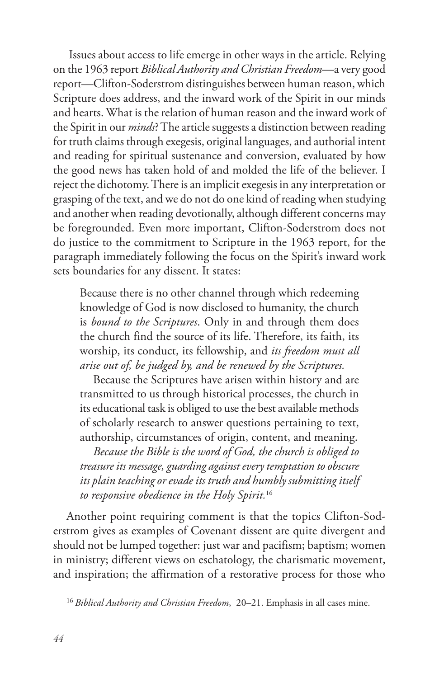Issues about access to life emerge in other ways in the article. Relying on the 1963 report *Biblical Authority and Christian Freedom*—a very good report—Clifton-Soderstrom distinguishes between human reason, which Scripture does address, and the inward work of the Spirit in our minds and hearts. What is the relation of human reason and the inward work of the Spirit in our *minds*? The article suggests a distinction between reading for truth claims through exegesis, original languages, and authorial intent and reading for spiritual sustenance and conversion, evaluated by how the good news has taken hold of and molded the life of the believer. I reject the dichotomy. There is an implicit exegesis in any interpretation or grasping of the text, and we do not do one kind of reading when studying and another when reading devotionally, although different concerns may be foregrounded. Even more important, Clifton-Soderstrom does not do justice to the commitment to Scripture in the 1963 report, for the paragraph immediately following the focus on the Spirit's inward work sets boundaries for any dissent. It states:

Because there is no other channel through which redeeming knowledge of God is now disclosed to humanity, the church is *bound to the Scriptures*. Only in and through them does the church find the source of its life. Therefore, its faith, its worship, its conduct, its fellowship, and *its freedom must all arise out of, be judged by, and be renewed by the Scriptures.*

Because the Scriptures have arisen within history and are transmitted to us through historical processes, the church in its educational task is obliged to use the best available methods of scholarly research to answer questions pertaining to text, authorship, circumstances of origin, content, and meaning.

*Because the Bible is the word of God, the church is obliged to treasure its message, guarding against every temptation to obscure its plain teaching or evade its truth and humbly submitting itself to responsive obedience in the Holy Spirit.*<sup>16</sup>

Another point requiring comment is that the topics Clifton-Soderstrom gives as examples of Covenant dissent are quite divergent and should not be lumped together: just war and pacifism; baptism; women in ministry; different views on eschatology, the charismatic movement, and inspiration; the affirmation of a restorative process for those who

16 *Biblical Authority and Christian Freedom*, 20–21. Emphasis in all cases mine.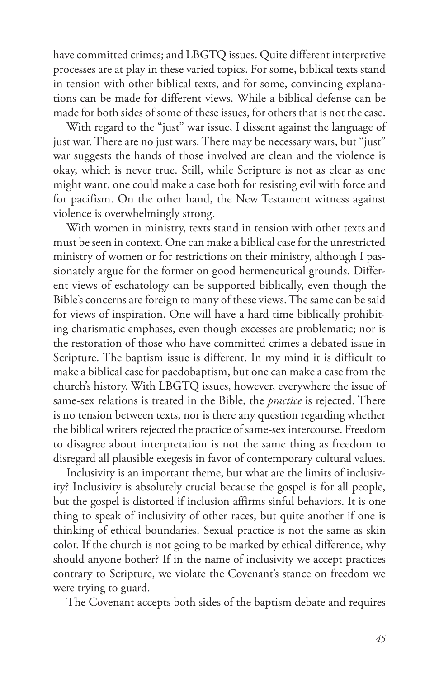have committed crimes; and LBGTQ issues. Quite different interpretive processes are at play in these varied topics. For some, biblical texts stand in tension with other biblical texts, and for some, convincing explanations can be made for different views. While a biblical defense can be made for both sides of some of these issues, for others that is not the case.

With regard to the "just" war issue, I dissent against the language of just war. There are no just wars. There may be necessary wars, but "just" war suggests the hands of those involved are clean and the violence is okay, which is never true. Still, while Scripture is not as clear as one might want, one could make a case both for resisting evil with force and for pacifism. On the other hand, the New Testament witness against violence is overwhelmingly strong.

With women in ministry, texts stand in tension with other texts and must be seen in context. One can make a biblical case for the unrestricted ministry of women or for restrictions on their ministry, although I passionately argue for the former on good hermeneutical grounds. Different views of eschatology can be supported biblically, even though the Bible's concerns are foreign to many of these views. The same can be said for views of inspiration. One will have a hard time biblically prohibiting charismatic emphases, even though excesses are problematic; nor is the restoration of those who have committed crimes a debated issue in Scripture. The baptism issue is different. In my mind it is difficult to make a biblical case for paedobaptism, but one can make a case from the church's history. With LBGTQ issues, however, everywhere the issue of same-sex relations is treated in the Bible, the *practice* is rejected. There is no tension between texts, nor is there any question regarding whether the biblical writers rejected the practice of same-sex intercourse. Freedom to disagree about interpretation is not the same thing as freedom to disregard all plausible exegesis in favor of contemporary cultural values.

Inclusivity is an important theme, but what are the limits of inclusivity? Inclusivity is absolutely crucial because the gospel is for all people, but the gospel is distorted if inclusion affirms sinful behaviors. It is one thing to speak of inclusivity of other races, but quite another if one is thinking of ethical boundaries. Sexual practice is not the same as skin color. If the church is not going to be marked by ethical difference, why should anyone bother? If in the name of inclusivity we accept practices contrary to Scripture, we violate the Covenant's stance on freedom we were trying to guard.

The Covenant accepts both sides of the baptism debate and requires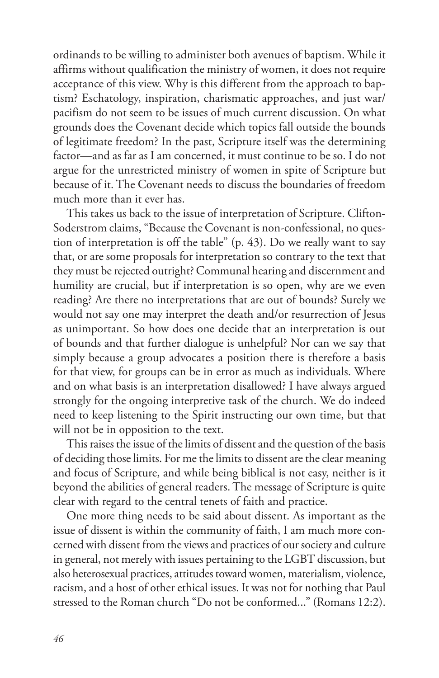ordinands to be willing to administer both avenues of baptism. While it affirms without qualification the ministry of women, it does not require acceptance of this view. Why is this different from the approach to baptism? Eschatology, inspiration, charismatic approaches, and just war/ pacifism do not seem to be issues of much current discussion. On what grounds does the Covenant decide which topics fall outside the bounds of legitimate freedom? In the past, Scripture itself was the determining factor—and as far as I am concerned, it must continue to be so. I do not argue for the unrestricted ministry of women in spite of Scripture but because of it. The Covenant needs to discuss the boundaries of freedom much more than it ever has.

This takes us back to the issue of interpretation of Scripture. Clifton-Soderstrom claims, "Because the Covenant is non-confessional, no question of interpretation is off the table" (p. 43). Do we really want to say that, or are some proposals for interpretation so contrary to the text that they must be rejected outright? Communal hearing and discernment and humility are crucial, but if interpretation is so open, why are we even reading? Are there no interpretations that are out of bounds? Surely we would not say one may interpret the death and/or resurrection of Jesus as unimportant. So how does one decide that an interpretation is out of bounds and that further dialogue is unhelpful? Nor can we say that simply because a group advocates a position there is therefore a basis for that view, for groups can be in error as much as individuals. Where and on what basis is an interpretation disallowed? I have always argued strongly for the ongoing interpretive task of the church. We do indeed need to keep listening to the Spirit instructing our own time, but that will not be in opposition to the text.

This raises the issue of the limits of dissent and the question of the basis of deciding those limits. For me the limits to dissent are the clear meaning and focus of Scripture, and while being biblical is not easy, neither is it beyond the abilities of general readers. The message of Scripture is quite clear with regard to the central tenets of faith and practice.

One more thing needs to be said about dissent. As important as the issue of dissent is within the community of faith, I am much more concerned with dissent from the views and practices of our society and culture in general, not merely with issues pertaining to the LGBT discussion, but also heterosexual practices, attitudes toward women, materialism, violence, racism, and a host of other ethical issues. It was not for nothing that Paul stressed to the Roman church "Do not be conformed..." (Romans 12:2).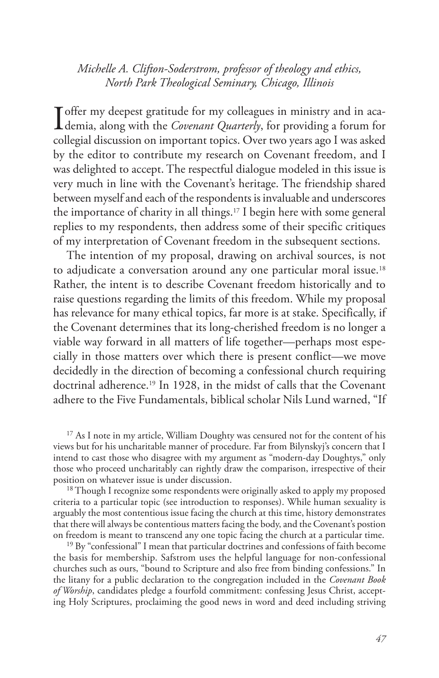*Michelle A. Clifton-Soderstrom, professor of theology and ethics, North Park Theological Seminary, Chicago, Illinois*

**I** offer my deepest gratitude for my colleagues in ministry and in aca-<br>demia, along with the *Covenant Quarterly*, for providing a forum for collegial discussion on important topics. Over two years ago I was asked by the editor to contribute my research on Covenant freedom, and I was delighted to accept. The respectful dialogue modeled in this issue is very much in line with the Covenant's heritage. The friendship shared between myself and each of the respondents is invaluable and underscores the importance of charity in all things.17 I begin here with some general replies to my respondents, then address some of their specific critiques of my interpretation of Covenant freedom in the subsequent sections.

The intention of my proposal, drawing on archival sources, is not to adjudicate a conversation around any one particular moral issue.<sup>18</sup> Rather, the intent is to describe Covenant freedom historically and to raise questions regarding the limits of this freedom. While my proposal has relevance for many ethical topics, far more is at stake. Specifically, if the Covenant determines that its long-cherished freedom is no longer a viable way forward in all matters of life together—perhaps most especially in those matters over which there is present conflict—we move decidedly in the direction of becoming a confessional church requiring doctrinal adherence.19 In 1928, in the midst of calls that the Covenant adhere to the Five Fundamentals, biblical scholar Nils Lund warned, "If

<sup>17</sup> As I note in my article, William Doughty was censured not for the content of his views but for his uncharitable manner of procedure. Far from Bilynskyj's concern that I intend to cast those who disagree with my argument as "modern-day Doughtys," only those who proceed uncharitably can rightly draw the comparison, irrespective of their position on whatever issue is under discussion.

<sup>18</sup> Though I recognize some respondents were originally asked to apply my proposed criteria to a particular topic (see introduction to responses). While human sexuality is arguably the most contentious issue facing the church at this time, history demonstrates that there will always be contentious matters facing the body, and the Covenant's postion on freedom is meant to transcend any one topic facing the church at a particular time.

<sup>19</sup> By "confessional" I mean that particular doctrines and confessions of faith become the basis for membership. Safstrom uses the helpful language for non-confessional churches such as ours, "bound to Scripture and also free from binding confessions." In the litany for a public declaration to the congregation included in the *Covenant Book of Worship*, candidates pledge a fourfold commitment: confessing Jesus Christ, accepting Holy Scriptures, proclaiming the good news in word and deed including striving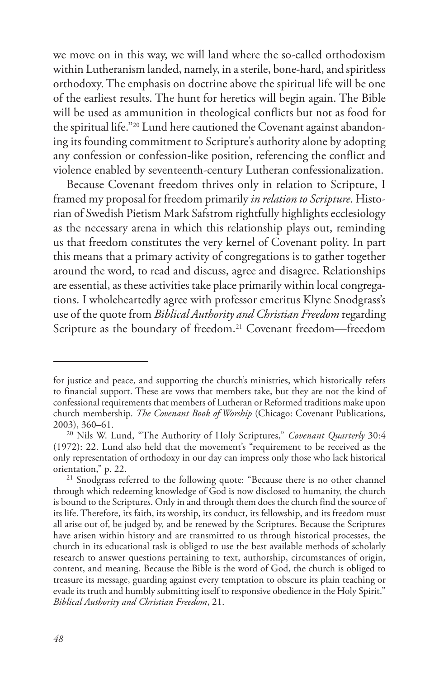we move on in this way, we will land where the so-called orthodoxism within Lutheranism landed, namely, in a sterile, bone-hard, and spiritless orthodoxy. The emphasis on doctrine above the spiritual life will be one of the earliest results. The hunt for heretics will begin again. The Bible will be used as ammunition in theological conflicts but not as food for the spiritual life."20 Lund here cautioned the Covenant against abandoning its founding commitment to Scripture's authority alone by adopting any confession or confession-like position, referencing the conflict and violence enabled by seventeenth-century Lutheran confessionalization.

Because Covenant freedom thrives only in relation to Scripture, I framed my proposal for freedom primarily *in relation to Scripture*. Historian of Swedish Pietism Mark Safstrom rightfully highlights ecclesiology as the necessary arena in which this relationship plays out, reminding us that freedom constitutes the very kernel of Covenant polity. In part this means that a primary activity of congregations is to gather together around the word, to read and discuss, agree and disagree. Relationships are essential, as these activities take place primarily within local congregations. I wholeheartedly agree with professor emeritus Klyne Snodgrass's use of the quote from *Biblical Authority and Christian Freedom* regarding Scripture as the boundary of freedom.<sup>21</sup> Covenant freedom—freedom

for justice and peace, and supporting the church's ministries, which historically refers to financial support. These are vows that members take, but they are not the kind of confessional requirements that members of Lutheran or Reformed traditions make upon church membership. *The Covenant Book of Worship* (Chicago: Covenant Publications,

<sup>&</sup>lt;sup>20</sup> Nils W. Lund, "The Authority of Holy Scriptures," *Covenant Quarterly* 30:4 (1972): 22. Lund also held that the movement's "requirement to be received as the only representation of orthodoxy in our day can impress only those who lack historical

<sup>&</sup>lt;sup>21</sup> Snodgrass referred to the following quote: "Because there is no other channel through which redeeming knowledge of God is now disclosed to humanity, the church is bound to the Scriptures. Only in and through them does the church find the source of its life. Therefore, its faith, its worship, its conduct, its fellowship, and its freedom must all arise out of, be judged by, and be renewed by the Scriptures. Because the Scriptures have arisen within history and are transmitted to us through historical processes, the church in its educational task is obliged to use the best available methods of scholarly research to answer questions pertaining to text, authorship, circumstances of origin, content, and meaning. Because the Bible is the word of God, the church is obliged to treasure its message, guarding against every temptation to obscure its plain teaching or evade its truth and humbly submitting itself to responsive obedience in the Holy Spirit." *Biblical Authority and Christian Freedom*, 21.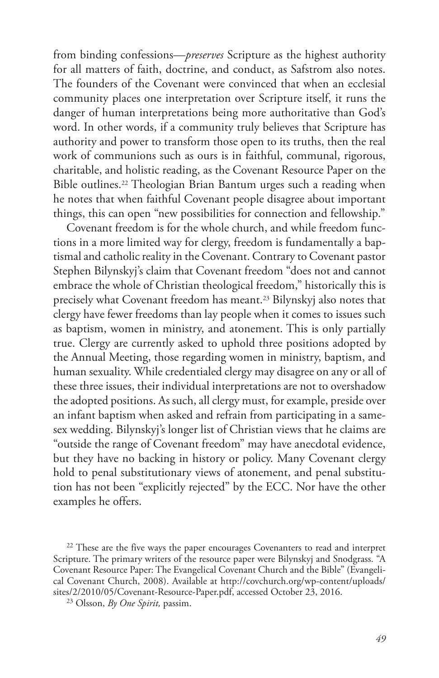from binding confessions—*preserves* Scripture as the highest authority for all matters of faith, doctrine, and conduct, as Safstrom also notes. The founders of the Covenant were convinced that when an ecclesial community places one interpretation over Scripture itself, it runs the danger of human interpretations being more authoritative than God's word. In other words, if a community truly believes that Scripture has authority and power to transform those open to its truths, then the real work of communions such as ours is in faithful, communal, rigorous, charitable, and holistic reading, as the Covenant Resource Paper on the Bible outlines.<sup>22</sup> Theologian Brian Bantum urges such a reading when he notes that when faithful Covenant people disagree about important things, this can open "new possibilities for connection and fellowship."

Covenant freedom is for the whole church, and while freedom functions in a more limited way for clergy, freedom is fundamentally a baptismal and catholic reality in the Covenant. Contrary to Covenant pastor Stephen Bilynskyj's claim that Covenant freedom "does not and cannot embrace the whole of Christian theological freedom," historically this is precisely what Covenant freedom has meant.23 Bilynskyj also notes that clergy have fewer freedoms than lay people when it comes to issues such as baptism, women in ministry, and atonement. This is only partially true. Clergy are currently asked to uphold three positions adopted by the Annual Meeting, those regarding women in ministry, baptism, and human sexuality. While credentialed clergy may disagree on any or all of these three issues, their individual interpretations are not to overshadow the adopted positions. As such, all clergy must, for example, preside over an infant baptism when asked and refrain from participating in a samesex wedding. Bilynskyj's longer list of Christian views that he claims are "outside the range of Covenant freedom" may have anecdotal evidence, but they have no backing in history or policy. Many Covenant clergy hold to penal substitutionary views of atonement, and penal substitution has not been "explicitly rejected" by the ECC. Nor have the other examples he offers.

<sup>&</sup>lt;sup>22</sup> These are the five ways the paper encourages Covenanters to read and interpret Scripture. The primary writers of the resource paper were Bilynskyj and Snodgrass. "A Covenant Resource Paper: The Evangelical Covenant Church and the Bible" (Evangelical Covenant Church, 2008). Available at http://covchurch.org/wp-content/uploads/ sites/2/2010/05/Covenant-Resource-Paper.pdf, accessed October 23, 2016.

<sup>23</sup> Olsson, *By One Spirit,* passim.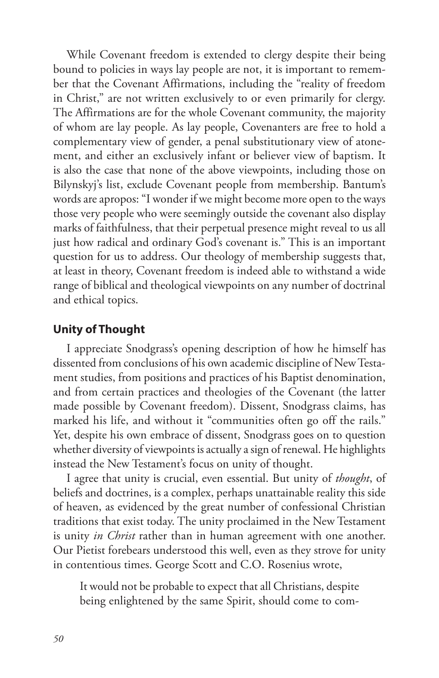While Covenant freedom is extended to clergy despite their being bound to policies in ways lay people are not, it is important to remember that the Covenant Affirmations, including the "reality of freedom in Christ," are not written exclusively to or even primarily for clergy. The Affirmations are for the whole Covenant community, the majority of whom are lay people. As lay people, Covenanters are free to hold a complementary view of gender, a penal substitutionary view of atonement, and either an exclusively infant or believer view of baptism. It is also the case that none of the above viewpoints, including those on Bilynskyj's list, exclude Covenant people from membership. Bantum's words are apropos: "I wonder if we might become more open to the ways those very people who were seemingly outside the covenant also display marks of faithfulness, that their perpetual presence might reveal to us all just how radical and ordinary God's covenant is." This is an important question for us to address. Our theology of membership suggests that, at least in theory, Covenant freedom is indeed able to withstand a wide range of biblical and theological viewpoints on any number of doctrinal and ethical topics.

# **Unity of Thought**

I appreciate Snodgrass's opening description of how he himself has dissented from conclusions of his own academic discipline of New Testament studies, from positions and practices of his Baptist denomination, and from certain practices and theologies of the Covenant (the latter made possible by Covenant freedom). Dissent, Snodgrass claims, has marked his life, and without it "communities often go off the rails." Yet, despite his own embrace of dissent, Snodgrass goes on to question whether diversity of viewpoints is actually a sign of renewal. He highlights instead the New Testament's focus on unity of thought.

I agree that unity is crucial, even essential. But unity of *thought*, of beliefs and doctrines, is a complex, perhaps unattainable reality this side of heaven, as evidenced by the great number of confessional Christian traditions that exist today. The unity proclaimed in the New Testament is unity *in Christ* rather than in human agreement with one another. Our Pietist forebears understood this well, even as they strove for unity in contentious times. George Scott and C.O. Rosenius wrote,

It would not be probable to expect that all Christians, despite being enlightened by the same Spirit, should come to com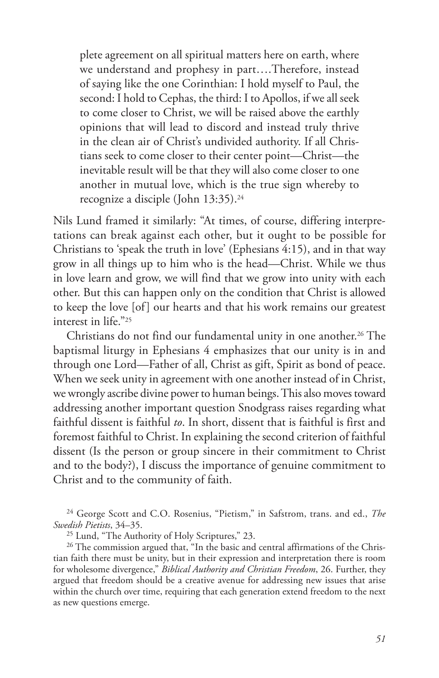plete agreement on all spiritual matters here on earth, where we understand and prophesy in part….Therefore, instead of saying like the one Corinthian: I hold myself to Paul, the second: I hold to Cephas, the third: I to Apollos, if we all seek to come closer to Christ, we will be raised above the earthly opinions that will lead to discord and instead truly thrive in the clean air of Christ's undivided authority. If all Christians seek to come closer to their center point—Christ—the inevitable result will be that they will also come closer to one another in mutual love, which is the true sign whereby to recognize a disciple (John 13:35).24

Nils Lund framed it similarly: "At times, of course, differing interpretations can break against each other, but it ought to be possible for Christians to 'speak the truth in love' (Ephesians 4:15), and in that way grow in all things up to him who is the head—Christ. While we thus in love learn and grow, we will find that we grow into unity with each other. But this can happen only on the condition that Christ is allowed to keep the love [of] our hearts and that his work remains our greatest interest in life."25

Christians do not find our fundamental unity in one another.<sup>26</sup> The baptismal liturgy in Ephesians 4 emphasizes that our unity is in and through one Lord—Father of all, Christ as gift, Spirit as bond of peace. When we seek unity in agreement with one another instead of in Christ, we wrongly ascribe divine power to human beings. This also moves toward addressing another important question Snodgrass raises regarding what faithful dissent is faithful *to*. In short, dissent that is faithful is first and foremost faithful to Christ. In explaining the second criterion of faithful dissent (Is the person or group sincere in their commitment to Christ and to the body?), I discuss the importance of genuine commitment to Christ and to the community of faith.

24 George Scott and C.O. Rosenius, "Pietism," in Safstrom, trans. and ed., *The Swedish Pietists*, 34–35.

25 Lund, "The Authority of Holy Scriptures," 23.

<sup>26</sup> The commission argued that, "In the basic and central affirmations of the Christian faith there must be unity, but in their expression and interpretation there is room for wholesome divergence," *Biblical Authority and Christian Freedom*, 26. Further, they argued that freedom should be a creative avenue for addressing new issues that arise within the church over time, requiring that each generation extend freedom to the next as new questions emerge.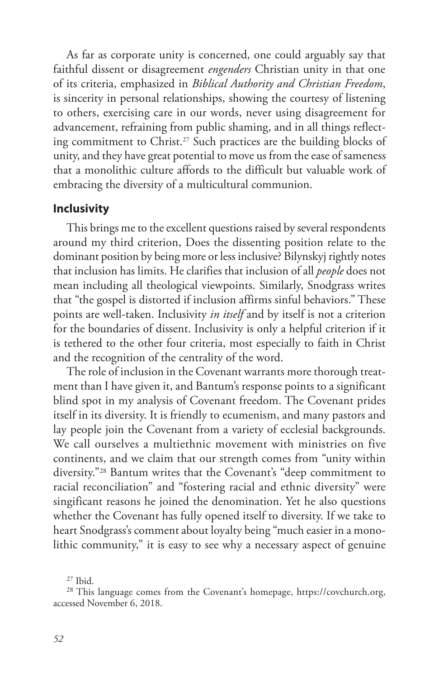As far as corporate unity is concerned, one could arguably say that faithful dissent or disagreement *engenders* Christian unity in that one of its criteria, emphasized in *Biblical Authority and Christian Freedom*, is sincerity in personal relationships, showing the courtesy of listening to others, exercising care in our words, never using disagreement for advancement, refraining from public shaming, and in all things reflecting commitment to Christ.<sup>27</sup> Such practices are the building blocks of unity, and they have great potential to move us from the ease of sameness that a monolithic culture affords to the difficult but valuable work of embracing the diversity of a multicultural communion.

#### **Inclusivity**

This brings me to the excellent questions raised by several respondents around my third criterion, Does the dissenting position relate to the dominant position by being more or less inclusive? Bilynskyj rightly notes that inclusion has limits. He clarifies that inclusion of all *people* does not mean including all theological viewpoints. Similarly, Snodgrass writes that "the gospel is distorted if inclusion affirms sinful behaviors." These points are well-taken. Inclusivity *in itself* and by itself is not a criterion for the boundaries of dissent. Inclusivity is only a helpful criterion if it is tethered to the other four criteria, most especially to faith in Christ and the recognition of the centrality of the word.

The role of inclusion in the Covenant warrants more thorough treatment than I have given it, and Bantum's response points to a significant blind spot in my analysis of Covenant freedom. The Covenant prides itself in its diversity. It is friendly to ecumenism, and many pastors and lay people join the Covenant from a variety of ecclesial backgrounds. We call ourselves a multiethnic movement with ministries on five continents, and we claim that our strength comes from "unity within diversity."28 Bantum writes that the Covenant's "deep commitment to racial reconciliation" and "fostering racial and ethnic diversity" were singificant reasons he joined the denomination. Yet he also questions whether the Covenant has fully opened itself to diversity. If we take to heart Snodgrass's comment about loyalty being "much easier in a monolithic community," it is easy to see why a necessary aspect of genuine

 $27$  Ibid.

<sup>28</sup> This language comes from the Covenant's homepage, https://covchurch.org, accessed November 6, 2018.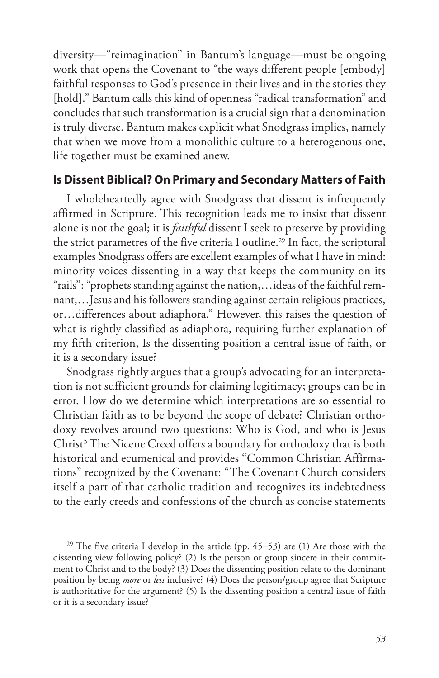diversity—"reimagination" in Bantum's language—must be ongoing work that opens the Covenant to "the ways different people [embody] faithful responses to God's presence in their lives and in the stories they [hold]." Bantum calls this kind of openness "radical transformation" and concludes that such transformation is a crucial sign that a denomination is truly diverse. Bantum makes explicit what Snodgrass implies, namely that when we move from a monolithic culture to a heterogenous one, life together must be examined anew.

#### **Is Dissent Biblical? On Primary and Secondary Matters of Faith**

I wholeheartedly agree with Snodgrass that dissent is infrequently affirmed in Scripture. This recognition leads me to insist that dissent alone is not the goal; it is *faithful* dissent I seek to preserve by providing the strict parametres of the five criteria I outline.<sup>29</sup> In fact, the scriptural examples Snodgrass offers are excellent examples of what I have in mind: minority voices dissenting in a way that keeps the community on its "rails": "prophets standing against the nation,…ideas of the faithful remnant,…Jesus and his followers standing against certain religious practices, or…differences about adiaphora." However, this raises the question of what is rightly classified as adiaphora, requiring further explanation of my fifth criterion, Is the dissenting position a central issue of faith, or it is a secondary issue?

Snodgrass rightly argues that a group's advocating for an interpretation is not sufficient grounds for claiming legitimacy; groups can be in error. How do we determine which interpretations are so essential to Christian faith as to be beyond the scope of debate? Christian orthodoxy revolves around two questions: Who is God, and who is Jesus Christ? The Nicene Creed offers a boundary for orthodoxy that is both historical and ecumenical and provides "Common Christian Affirmations" recognized by the Covenant: "The Covenant Church considers itself a part of that catholic tradition and recognizes its indebtedness to the early creeds and confessions of the church as concise statements

<sup>29</sup> The five criteria I develop in the article (pp.  $45-53$ ) are (1) Are those with the dissenting view following policy? (2) Is the person or group sincere in their commitment to Christ and to the body? (3) Does the dissenting position relate to the dominant position by being *more* or *less* inclusive? (4) Does the person/group agree that Scripture is authoritative for the argument? (5) Is the dissenting position a central issue of faith or it is a secondary issue?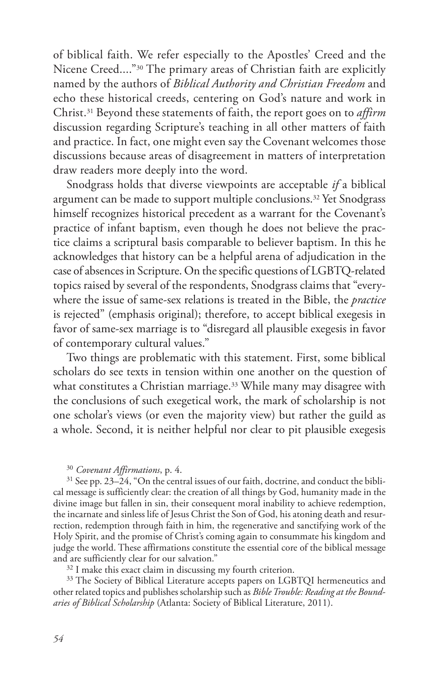of biblical faith. We refer especially to the Apostles' Creed and the Nicene Creed...."30 The primary areas of Christian faith are explicitly named by the authors of *Biblical Authority and Christian Freedom* and echo these historical creeds, centering on God's nature and work in Christ.31 Beyond these statements of faith, the report goes on to *affirm* discussion regarding Scripture's teaching in all other matters of faith and practice. In fact, one might even say the Covenant welcomes those discussions because areas of disagreement in matters of interpretation draw readers more deeply into the word.

Snodgrass holds that diverse viewpoints are acceptable *if* a biblical argument can be made to support multiple conclusions.<sup>32</sup> Yet Snodgrass himself recognizes historical precedent as a warrant for the Covenant's practice of infant baptism, even though he does not believe the practice claims a scriptural basis comparable to believer baptism. In this he acknowledges that history can be a helpful arena of adjudication in the case of absences in Scripture. On the specific questions of LGBTQ-related topics raised by several of the respondents, Snodgrass claims that "everywhere the issue of same-sex relations is treated in the Bible, the *practice* is rejected" (emphasis original); therefore, to accept biblical exegesis in favor of same-sex marriage is to "disregard all plausible exegesis in favor of contemporary cultural values."

Two things are problematic with this statement. First, some biblical scholars do see texts in tension within one another on the question of what constitutes a Christian marriage.<sup>33</sup> While many may disagree with the conclusions of such exegetical work, the mark of scholarship is not one scholar's views (or even the majority view) but rather the guild as a whole. Second, it is neither helpful nor clear to pit plausible exegesis

#### <sup>30</sup> *Covenant Affirmations*, p. 4.

 $31$  See pp. 23–24, "On the central issues of our faith, doctrine, and conduct the biblical message is sufficiently clear: the creation of all things by God, humanity made in the divine image but fallen in sin, their consequent moral inability to achieve redemption, the incarnate and sinless life of Jesus Christ the Son of God, his atoning death and resurrection, redemption through faith in him, the regenerative and sanctifying work of the Holy Spirit, and the promise of Christ's coming again to consummate his kingdom and judge the world. These affirmations constitute the essential core of the biblical message and are sufficiently clear for our salvation."

<sup>32</sup> I make this exact claim in discussing my fourth criterion.

<sup>33</sup> The Society of Biblical Literature accepts papers on LGBTQI hermeneutics and other related topics and publishes scholarship such as *Bible Trouble: Reading at the Boundaries of Biblical Scholarship* (Atlanta: Society of Biblical Literature, 2011).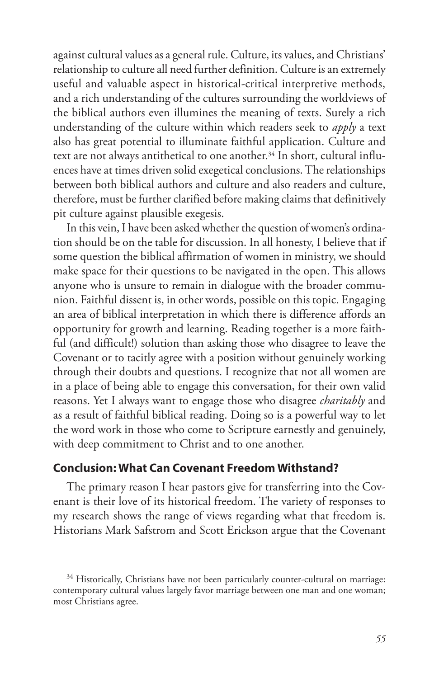against cultural values as a general rule. Culture, its values, and Christians' relationship to culture all need further definition. Culture is an extremely useful and valuable aspect in historical-critical interpretive methods, and a rich understanding of the cultures surrounding the worldviews of the biblical authors even illumines the meaning of texts. Surely a rich understanding of the culture within which readers seek to *apply* a text also has great potential to illuminate faithful application. Culture and text are not always antithetical to one another.<sup>34</sup> In short, cultural influences have at times driven solid exegetical conclusions. The relationships between both biblical authors and culture and also readers and culture, therefore, must be further clarified before making claims that definitively pit culture against plausible exegesis.

In this vein, I have been asked whether the question of women's ordination should be on the table for discussion. In all honesty, I believe that if some question the biblical affirmation of women in ministry, we should make space for their questions to be navigated in the open. This allows anyone who is unsure to remain in dialogue with the broader communion. Faithful dissent is, in other words, possible on this topic. Engaging an area of biblical interpretation in which there is difference affords an opportunity for growth and learning. Reading together is a more faithful (and difficult!) solution than asking those who disagree to leave the Covenant or to tacitly agree with a position without genuinely working through their doubts and questions. I recognize that not all women are in a place of being able to engage this conversation, for their own valid reasons. Yet I always want to engage those who disagree *charitably* and as a result of faithful biblical reading. Doing so is a powerful way to let the word work in those who come to Scripture earnestly and genuinely, with deep commitment to Christ and to one another.

# **Conclusion: What Can Covenant Freedom Withstand?**

The primary reason I hear pastors give for transferring into the Covenant is their love of its historical freedom. The variety of responses to my research shows the range of views regarding what that freedom is. Historians Mark Safstrom and Scott Erickson argue that the Covenant

<sup>&</sup>lt;sup>34</sup> Historically, Christians have not been particularly counter-cultural on marriage: contemporary cultural values largely favor marriage between one man and one woman; most Christians agree.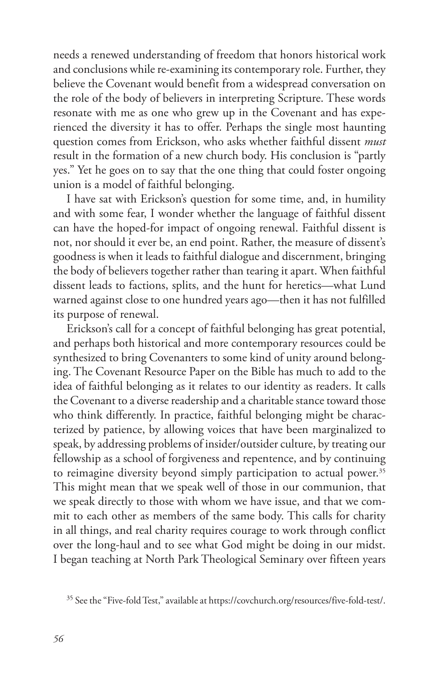needs a renewed understanding of freedom that honors historical work and conclusions while re-examining its contemporary role. Further, they believe the Covenant would benefit from a widespread conversation on the role of the body of believers in interpreting Scripture. These words resonate with me as one who grew up in the Covenant and has experienced the diversity it has to offer. Perhaps the single most haunting question comes from Erickson, who asks whether faithful dissent *must* result in the formation of a new church body. His conclusion is "partly yes." Yet he goes on to say that the one thing that could foster ongoing union is a model of faithful belonging.

I have sat with Erickson's question for some time, and, in humility and with some fear, I wonder whether the language of faithful dissent can have the hoped-for impact of ongoing renewal. Faithful dissent is not, nor should it ever be, an end point. Rather, the measure of dissent's goodness is when it leads to faithful dialogue and discernment, bringing the body of believers together rather than tearing it apart. When faithful dissent leads to factions, splits, and the hunt for heretics—what Lund warned against close to one hundred years ago—then it has not fulfilled its purpose of renewal.

Erickson's call for a concept of faithful belonging has great potential, and perhaps both historical and more contemporary resources could be synthesized to bring Covenanters to some kind of unity around belonging. The Covenant Resource Paper on the Bible has much to add to the idea of faithful belonging as it relates to our identity as readers. It calls the Covenant to a diverse readership and a charitable stance toward those who think differently. In practice, faithful belonging might be characterized by patience, by allowing voices that have been marginalized to speak, by addressing problems of insider/outsider culture, by treating our fellowship as a school of forgiveness and repentence, and by continuing to reimagine diversity beyond simply participation to actual power.<sup>35</sup> This might mean that we speak well of those in our communion, that we speak directly to those with whom we have issue, and that we commit to each other as members of the same body. This calls for charity in all things, and real charity requires courage to work through conflict over the long-haul and to see what God might be doing in our midst. I began teaching at North Park Theological Seminary over fifteen years

<sup>35</sup> See the "Five-fold Test," available at https://covchurch.org/resources/five-fold-test/.